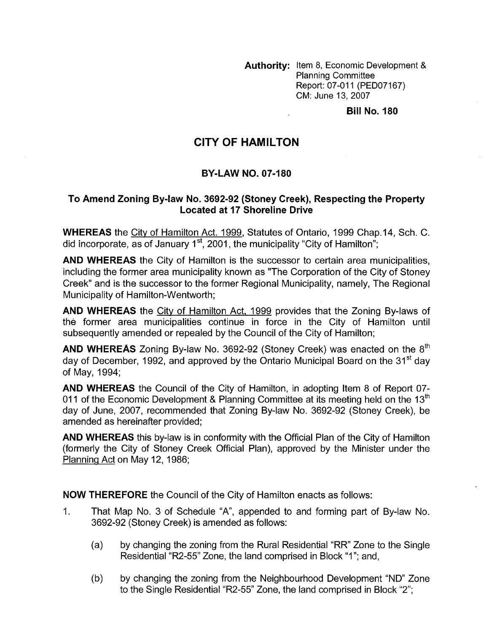**Authority:** Item 8, Economic Development & Planning Committee Report: 07-011 (PED07167) CM: June 13,2007

**Bill No. 180** 

## **CITY OF HAMILTON**

## **BY-LAW NO. 07-180**

## **To Amend Zoning Bylaw No. 3692-92 (Stoney Creek), Respecting the Property Located at 17 Shoreline Drive**

**WHEREAS** the City of Hamilton Act. 1999, Statutes of Ontario, 1999 Chap.14, Sch. C. did incorporate, as of January 1<sup>st</sup>, 2001, the municipality "City of Hamilton";

**AND WHEREAS** the City of Hamilton is the successor to certain area municipalities, including the former area municipality known as "The Corporation of the City of Stoney Creek" and is the successor to the former Regional Municipality, namely, The Regional Municipality of Hamilton-Wentworth;

**AND WHEREAS** the City of Hamilton Act, 1999 provides that the Zoning By-laws of the former area municipalities continue in force in the City of Hamilton until subsequently amended or repealed by the Council of the City of Hamilton;

**AND WHEREAS** Zoning By-law No. 3692-92 (Stoney Creek) was enacted on the 8<sup>th</sup> day of December, 1992, and approved by the Ontario Municipal Board on the 31<sup>st</sup> day of May, 1994;

**AND WHEREAS** the Council of the City of Hamilton, in adopting Item 8 of Report 07- 011 of the Economic Development & Planning Committee at its meeting held on the 13 $^{\text{th}}$ day of June, 2007, recommended that Zoning By-law No. 3692-92 (Stoney Creek), be amended as hereinafter provided;

**AND WHEREAS** this by-law is in conformity with the Official Plan of the City of Hamilton (formerly the City of Stoney Creek Official Plan), approved by the Minister under the Planninq Act on May 12, 1986;

**NOW THEREFORE** the Council of the City of Hamilton enacts as follows:

- 1. That Map No. 3 of Schedule "A", appended to and forming part of By-law No. 3692-92 (Stoney Creek) is amended as follows:
	- (a) by changing the zoning from the Rural Residential "RR' Zone to the Single Residential "R2-55" Zone, the land comprised in Block "1"; and,
	- (b) by changing the zoning from the Neighbourhood Development "ND" Zone to the Single Residential "R2-55" Zone, the land comprised in Block "2";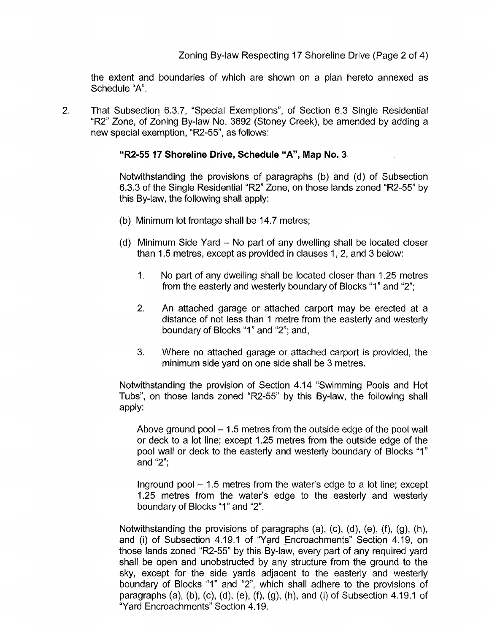the extent and boundaries of which are shown on a plan hereto annexed as Schedule "A".

2. That Subsection 6.3.7, "Special Exemptions", of Section 6.3 Single Residential "R2" Zone, of Zoning By-law No. 3692 (Stoney Creek), be amended by adding a new special exemption, "R2-55", as follows:

## **"R2-55 17 Shoreline Drive, Schedule "A", Map No. 3**

Notwithstanding the provisions of paragraphs (b) and (d) of Subsection 6.3.3 of the Single Residential "R2" Zone, on those lands zoned "R2-55" by this By-law, the following shall apply:

- (b) Minimum lot frontage shall be 14.7 metres;
- (d) Minimum Side Yard No part of any dwelling shall be located closer than 1.5 metres, except as provided in clauses 1, 2, and 3 below:
	- 1. No part of any dwelling shall be located closer than 1.25 metres from the easterly and westerly boundary of Blocks "1" and "2";
	- 2. An attached garage or attached carport may be erected at a distance of not less than 1 metre from the easterly and westerly boundary of Blocks "I" and "2"; and,
	- 3. Where no attached garage or attached carport is provided, the minimum side yard on one side shall be 3 metres.

Notwithstanding the provision of Section 4.14 "Swimming Pools and Hot Tubs", on those lands zoned "R2-55" by this By-law, the following shall apply:

Above ground pool  $-1.5$  metres from the outside edge of the pool wall or deck to a lot line; except 1.25 metres from the outside edge of the pool wall or deck to the easterly and westerly boundary of Blocks "1" and "2";

Inground pool  $-1.5$  metres from the water's edge to a lot line; except 1.25 metres from the water's edge to the easterly and westerly boundary of Blocks "1" and "2".

Notwithstanding the provisions of paragraphs (a), (c), (d), (e), (f), (g), (h), and (i) of Subsection 4.19.1 of "Yard Encroachments" Section 4.19, on those lands zoned "R2-55" by this By-law, every part of any required yard shall be open and unobstructed by any structure from the ground to the sky, except for the side yards adjacent to the easterly and westerly boundary of Blocks "1" and "2", which shall adhere to the provisions of paragraphs (a), (b), (c), (d), (e), (f), (g), (h), and (i) of Subsection 4.19.1 of "Yard Encroachments" Section 4.19.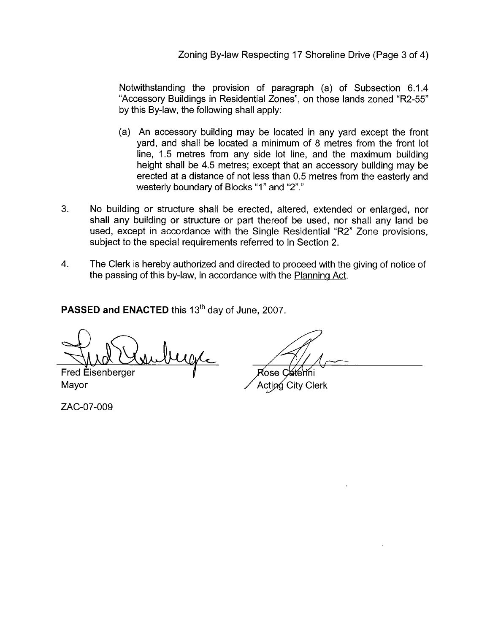Zoning By-law Respecting 17 Shoreline Drive (Page 3 of 4)

Notwithstanding the provision of paragraph (a) of Subsection 6.1.4 "Accessory Buildings in Residential Zones", on those lands zoned "R2-55" by this By-law, the following shall apply:

- (a) An accessory building may be located in any yard except the front yard, and shall be located a minimum of 8 metres from the front lot line, 1.5 metres from any side lot line, and the maximum building height shall be 4.5 metres; except that an accessory building may be erected at a distance of not less than 0.5 metres from the easterly and westerly boundary of Blocks "1" and "2"."
- *3.* No building or structure shall be erected, altered, extended or enlarged, nor shall any building or structure or part thereof be used, nor shall any land be used, except in accordance with the Single Residential "R2" Zone provisions, subject to the special requirements referred to in Section 2.
- 4. The Clerk is hereby authorized and directed to proceed with the giving of notice of the passing of this by-law, in accordance with the Planning Act.

**PASSED and ENACTED** this 13<sup>th</sup> day of June, 2007.

MAR COLONY CONTROL Rose Caterini<br>Fred Eisenberger Rose Caterini<br>Mayor Acting City Clerk

ZAC-07-009